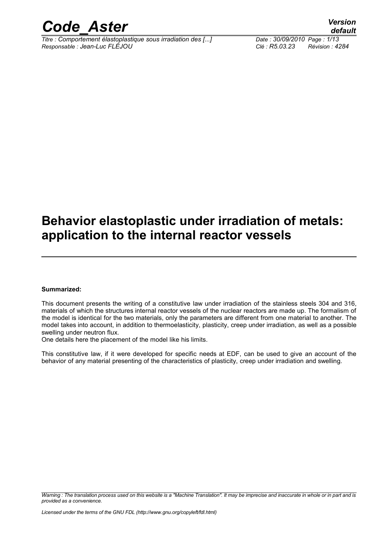

*Titre : Comportement élastoplastique sous irradiation des [...] Date : 30/09/2010 Page : 1/13 Responsable : Jean-Luc FLÉJOU Clé : R5.03.23 Révision : 4284*

### **Behavior elastoplastic under irradiation of metals: application to the internal reactor vessels**

#### **Summarized:**

This document presents the writing of a constitutive law under irradiation of the stainless steels 304 and 316, materials of which the structures internal reactor vessels of the nuclear reactors are made up. The formalism of the model is identical for the two materials, only the parameters are different from one material to another. The model takes into account, in addition to thermoelasticity, plasticity, creep under irradiation, as well as a possible swelling under neutron flux.

One details here the placement of the model like his limits.

This constitutive law, if it were developed for specific needs at EDF, can be used to give an account of the behavior of any material presenting of the characteristics of plasticity, creep under irradiation and swelling.

*Warning : The translation process used on this website is a "Machine Translation". It may be imprecise and inaccurate in whole or in part and is provided as a convenience.*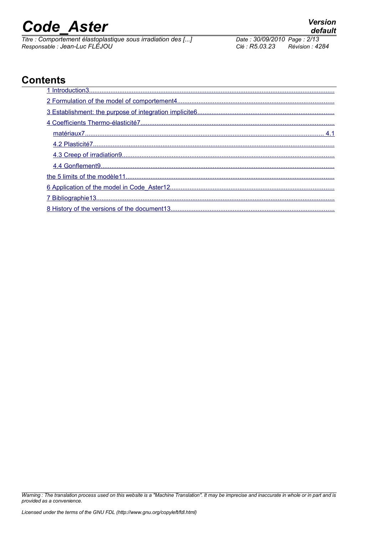*Titre : Comportement élastoplastique sous irradiation des [...] Date : 30/09/2010 Page : 2/13 Responsable : Jean-Luc FLÉJOU Clé : R5.03.23 Révision : 4284*

### **Contents**

*Warning : The translation process used on this website is a "Machine Translation". It may be imprecise and inaccurate in whole or in part and is provided as a convenience.*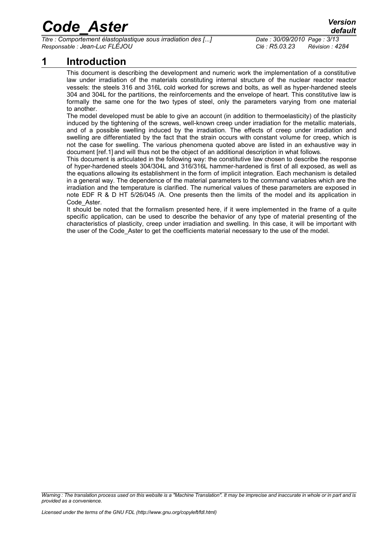*Titre : Comportement élastoplastique sous irradiation des [...] Date : 30/09/2010 Page : 3/13 Responsable : Jean-Luc FLÉJOU Clé : R5.03.23 Révision : 4284*

### **1 Introduction**

<span id="page-2-0"></span>This document is describing the development and numeric work the implementation of a constitutive law under irradiation of the materials constituting internal structure of the nuclear reactor reactor vessels: the steels 316 and 316L cold worked for screws and bolts, as well as hyper-hardened steels 304 and 304L for the partitions, the reinforcements and the envelope of heart. This constitutive law is formally the same one for the two types of steel, only the parameters varying from one material to another.

The model developed must be able to give an account (in addition to thermoelasticity) of the plasticity induced by the tightening of the screws, well-known creep under irradiation for the metallic materials, and of a possible swelling induced by the irradiation. The effects of creep under irradiation and swelling are differentiated by the fact that the strain occurs with constant volume for creep, which is not the case for swelling. The various phenomena quoted above are listed in an exhaustive way in document [ref[.1\]](#page-12-2)and will thus not be the object of an additional description in what follows.

This document is articulated in the following way: the constitutive law chosen to describe the response of hyper-hardened steels 304/304L and 316/316L hammer-hardened is first of all exposed, as well as the equations allowing its establishment in the form of implicit integration. Each mechanism is detailed in a general way. The dependence of the material parameters to the command variables which are the irradiation and the temperature is clarified. The numerical values of these parameters are exposed in note EDF R & D HT 5/26/045 /A. One presents then the limits of the model and its application in Code Aster.

It should be noted that the formalism presented here, if it were implemented in the frame of a quite specific application, can be used to describe the behavior of any type of material presenting of the characteristics of plasticity, creep under irradiation and swelling. In this case, it will be important with the user of the Code\_Aster to get the coefficients material necessary to the use of the model.

*Warning : The translation process used on this website is a "Machine Translation". It may be imprecise and inaccurate in whole or in part and is provided as a convenience.*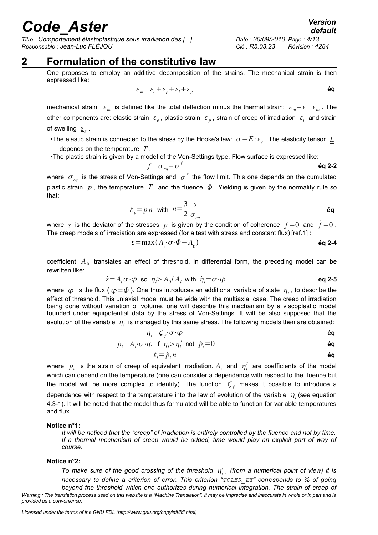*Titre : Comportement élastoplastique sous irradiation des [...] Date : 30/09/2010 Page : 4/13 Responsable : Jean-Luc FLÉJOU Clé : R5.03.23 Révision : 4284*

### **2 Formulation of the constitutive law**

<span id="page-3-0"></span>One proposes to employ an additive decomposition of the strains. The mechanical strain is then expressed like:

$$
\underline{\varepsilon}_m = \underline{\varepsilon}_e + \underline{\varepsilon}_p + \underline{\varepsilon}_i + \underline{\varepsilon}_g \tag{6q}
$$

mechanical strain,  $\epsilon_m$  is defined like the total deflection minus the thermal strain:  $\epsilon_m = \epsilon - \epsilon_{th}$ . The other components are: elastic strain  $\epsilon_e$ , plastic strain  $\epsilon_p$ , strain of creep of irradiation  $\epsilon_i$  and strain of swelling  $\mathbf{g}_g$ .

•The elastic strain is connected to the stress by the Hooke's law:  $\sigma\!=\!\underline{E}\!:\!\underline{\varepsilon}_e$  . The elasticity tensor  $\underline{E}$ depends on the temperature *T* .

•The plastic strain is given by a model of the Von-Settings type. Flow surface is expressed like:

$$
f = \sigma_{eq} - \sigma^f
$$

where  $\sigma_{_{eq}}$  is the stress of Von-Settings and  $\sigma^f$  the flow limit. This one depends on the cumulated plastic strain  $p$ , the temperature  $T$ , and the fluence  $\Phi$ . Yielding is given by the normality rule so that:

$$
\underline{\dot{\epsilon}}_p = \dot{p} \, \underline{n} \quad \text{with} \quad \underline{n} = \frac{3}{2} \, \frac{s}{\sigma_{eq}} \tag{6q}
$$

where  $\underline{s}$  is the deviator of the stresses.  $\dot{p}$  is given by the condition of coherence  $f=0$  and  $f=0$ . The creep models of irradiation are expressed (for a test with stress and constant flux) [ref[.1\]](#page-12-2) :

$$
\varepsilon = \max(A_i \cdot \sigma \cdot \Phi - A_0) \tag{6q 2-4}
$$

coefficient  $A_0$  translates an effect of threshold. In differential form, the preceding model can be rewritten like:

$$
\dot{\varepsilon} = A_i \sigma \cdot \varphi \quad \text{so} \quad \eta_i > A_0 / A_i \quad \text{with} \quad \dot{\eta}_i = \sigma \cdot \varphi \tag{6q 2-5}
$$

where  $\;\varphi\;$  is the flux (  $\varphi\!=\!\dot{\varPhi}$  ). One thus introduces an additional variable of state  $\;\eta_i$  , to describe the effect of threshold. This uniaxial model must be wide with the multiaxial case. The creep of irradiation being done without variation of volume, one will describe this mechanism by a viscoplastic model founded under equipotential data by the stress of Von-Settings. It will be also supposed that the evolution of the variable  $\vert \eta_i \vert$  is managed by this same stress. The following models then are obtained:

$$
\dot{\eta}_i = \zeta_i \cdot \sigma \cdot \varphi \qquad \qquad \text{Eq}
$$

$$
\dot{p}_i = A_i \cdot \sigma \cdot \varphi \quad \text{if} \quad \eta_i > \eta_i^s \quad \text{not} \quad \dot{p}_i = 0 \tag{64}
$$

<span id="page-3-2"></span><span id="page-3-1"></span>
$$
\dot{\underline{\varepsilon}}_i = \dot{p}_i \underline{n}
$$

where  $p_i$  is the strain of creep of equivalent irradiation.  $A_i$  and  $\eta_i^s$  are coefficients of the model which can depend on the temperature (one can consider a dependence with respect to the fluence but the model will be more complex to identify). The function  $\zeta_f$  makes it possible to introduce a dependence with respect to the temperature into the law of evolution of the variable  $\eta_i$  (see equation [4.3-1\)](#page-8-2). It will be noted that the model thus formulated will be able to function for variable temperatures and flux.

#### **Notice n°1:**

*It will be noticed that the "creep" of irradiation is entirely controlled by the fluence and not by time. If a thermal mechanism of creep would be added, time would play an explicit part of way of course*.

#### **Notice n°2:**

To make sure of the good crossing of the threshold  $\eta_i^s$ , (from a numerical point of view) it is *necessary to define a criterion of error. This criterion "TOLER\_ET" corresponds to % of going beyond the threshold which one authorizes during numerical integration. The strain of creep of*

*default*

*Warning : The translation process used on this website is a "Machine Translation". It may be imprecise and inaccurate in whole or in part and is provided as a convenience.*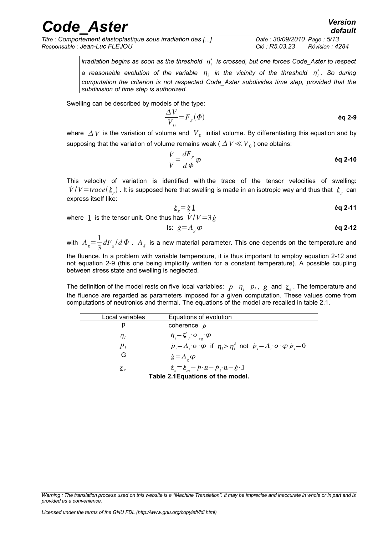*Titre : Comportement élastoplastique sous irradiation des [...] Date : 30/09/2010 Page : 5/13 Responsable : Jean-Luc FLÉJOU Clé : R5.03.23 Révision : 4284*

<span id="page-4-1"></span>

*irradiation begins as soon as the threshold <sup>i</sup> s is crossed, but one forces Code\_Aster to respect a* reasonable evolution of the variable  $\eta_i$  in the vicinity of the threshold  $\eta_i^s$ . So during *computation the criterion is not respected Code\_Aster subdivides time step, provided that the subdivision of time step is authorized.*

Swelling can be described by models of the type:

$$
\frac{\Delta V}{V_0} = F_g(\Phi) \tag{6q 2-9}
$$

where  $\,\varDelta\,V\,$  is the variation of volume and  $\,V_{\,0}\,$  initial volume. By differentiating this equation and by supposing that the variation of volume remains weak (  $\varDelta\,V\!\ll\!V_{\,0}$  ) one obtains:

$$
\frac{\dot{V}}{V} = \frac{dF_s}{d\Phi} \varphi
$$

This velocity of variation is identified with the trace of the tensor velocities of swelling:  $\dot{V}/V$ =*trace*  $(\dot{\bm{\dot{\epsilon}}}_g)$  . It is supposed here that swelling is made in an isotropic way and thus that  $\dot{\bm{\dot{\epsilon}}}_g$  can express itself like:

<span id="page-4-2"></span>
$$
\dot{\varepsilon}_s = \dot{g} \, \underline{1}
$$

where 1 is the tensor unit. One thus has  $\dot{V}/V=3\,\dot{g}$ 

$$
\text{Is: } \; \dot{g} = A_g \, \varphi \qquad \qquad \text{6q 2-12}
$$

with  $A_g = \frac{1}{3}$  $\frac{1}{3}$   $dF_g/d\Phi$  .  $A_g$  is a new material parameter. This one depends on the temperature and

the fluence. In a problem with variable temperature, it is thus important to employ equation [2-12](#page-4-2) and not equation [2-9](#page-4-1) (this one being implicitly written for a constant temperature). A possible coupling between stress state and swelling is neglected.

The definition of the model rests on five local variables:  $p$   $n$ <sub>*i*</sub>  $p$ <sub>*i*</sub>,  $g$  and  $\epsilon$ <sub>e</sub>. The temperature and the fluence are regarded as parameters imposed for a given computation. These values come from computations of neutronics and thermal. The equations of the model are recalled in table [2.1.](#page-4-0)

<span id="page-4-0"></span>

| Local variables                   | Equations of evolution                                                                                                                                        |  |  |  |
|-----------------------------------|---------------------------------------------------------------------------------------------------------------------------------------------------------------|--|--|--|
| p                                 | coherence $\dot{p}$                                                                                                                                           |  |  |  |
| $\eta_i$                          | $\dot{\eta}_i = \zeta_f \cdot \sigma_{eq} \cdot \varphi$                                                                                                      |  |  |  |
| $p_i$                             | $\dot{p}_i = A_i \sigma \phi$ if $\eta_i > \eta_i^s$ not $\dot{p}_i = A_i \sigma \phi \dot{p}_i = 0$                                                          |  |  |  |
| G                                 | $\dot{g} = A_{g} \varphi$                                                                                                                                     |  |  |  |
| $\mathcal{E}_{\rho}$              | $\underline{\dot{\varepsilon}}_e = \underline{\dot{\varepsilon}}_m - \dot{p} \cdot \underline{n} - \dot{p} \cdot \underline{n} - \dot{g} \cdot \underline{1}$ |  |  |  |
| Table 2.1 Equations of the model. |                                                                                                                                                               |  |  |  |

*Warning : The translation process used on this website is a "Machine Translation". It may be imprecise and inaccurate in whole or in part and is provided as a convenience.*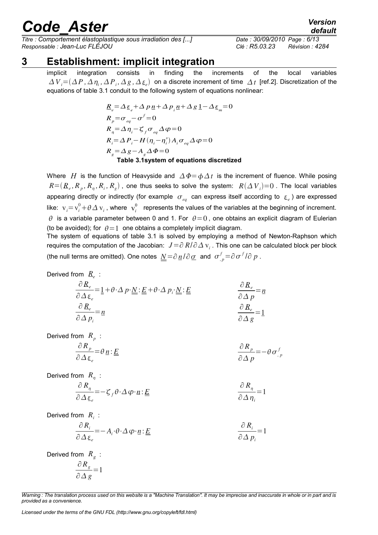*Titre : Comportement élastoplastique sous irradiation des [...] Date : 30/09/2010 Page : 6/13 Responsable : Jean-Luc FLÉJOU Clé : R5.03.23 Révision : 4284*

### **3 Establishment: implicit integration**

<span id="page-5-0"></span>implicit integration consists in finding the increments of the local variables  $\Delta$   $V$ <sub>*i*</sub> = ( $\Delta$   $P$  ,  $\Delta$   $\eta$ <sub>*i*</sub>,  $\Delta$   $P$ <sub>*i*</sub>,  $\Delta$   $g$  ,  $\Delta$   $\underline{\epsilon}$ <sub>*e*</sub>) on a discrete increment of time  $\Delta$   $t$  [ref[.2\]](#page-12-3). Discretization of the equations of table [3.1](#page-5-1) conduit to the following system of equations nonlinear:

<span id="page-5-1"></span>
$$
R_e = \Delta \varepsilon_e + \Delta p_1 n + \Delta p_i n + \Delta g_1 n - \Delta \varepsilon_m = 0
$$
  
\n
$$
R_p = \sigma_{eq} - \sigma^f = 0
$$
  
\n
$$
R_n = \Delta \eta_i - \zeta_f \sigma_{eq} \Delta \varphi = 0
$$
  
\n
$$
R_i = \Delta P_i - H(\eta_i - \eta_i^s) A_i \sigma_{eq} \Delta \varphi = 0
$$
  
\n
$$
R_g = \Delta g - A_g \Delta \Phi = 0
$$
  
\nTable 3.1 system of equations discretized

Where *H* is the function of Heavyside and  $\Delta \Phi = \phi \Delta t$  is the increment of fluence. While posing  $R = (R_e, R_p, R_n, R_i, R_g)$  , one thus seeks to solve the system:  $R(\Delta V_i)$ =0 . The local variables appearing directly or indirectly (for example  $\sigma_{_{eq}}$  can express itself according to  $\epsilon_{_e}$ ) are expressed like:  $v_i = v_i^0 + \theta \Delta v_i$ , where  $v_i^0$  represents the values of the variables at the beginning of increment.  $\theta$  is a variable parameter between 0 and 1. For  $\theta=0$ , one obtains an explicit diagram of Eulerian (to be avoided); for  $\theta = 1$  one obtains a completely implicit diagram.

The system of equations of table [3.1](#page-5-1) is solved by employing a method of Newton-Raphson which requires the computation of the Jacobian:  $\, J\!=\!\partial\,R/\partial\Delta\,\mathrm{v}_i$  . This one can be calculated block per block (the null terms are omitted). One notes  $\underline{N} = \partial \underline{n}/\partial \underline{\sigma}$  and  $\sigma_{,p}^f = \partial \sigma^f/\partial p$ .

$$
\text{Derived from } R_e : \\
\frac{\partial R_e}{\partial \Delta \varepsilon_e} = \underline{1} + \theta \cdot \Delta p \cdot \underline{N} : \underline{E} + \theta \cdot \Delta p_i \cdot \underline{N} : \underline{E} \\
\frac{\partial R_e}{\partial \Delta p} = \underline{n} \\
\frac{\partial R_e}{\partial \Delta p_i} = \underline{n} \\
\frac{\partial R_e}{\partial \Delta g} = 1
$$

Derived from *R<sup>p</sup>* :

$$
\frac{\partial R_p}{\partial \Delta \varepsilon_e} = \theta \underline{n} : \underline{E}
$$
\n
$$
\frac{\partial R_p}{\partial \Delta p} = -\theta \sigma^f_{,p}
$$

Derived from  $R_{\eta}$ :

$$
\frac{\partial R_{\eta}}{\partial \Delta \underline{\varepsilon}_{e}} = -\zeta_{f} \theta \cdot \Delta \varphi \cdot \underline{n} : \underline{E} \qquad \qquad \frac{\partial R_{\eta}}{\partial \Delta \eta_{i}} = 1
$$

Derived from *R<sup>i</sup>* :

$$
\frac{\partial R_i}{\partial \Delta \varepsilon_e} = -A_i \cdot \theta \cdot \Delta \varphi \cdot \underline{n} : \underline{E} \qquad \qquad \frac{\partial R_i}{\partial \Delta p_i} = 1
$$

Derived from *R<sup>g</sup>* : ∂*R<sup>g</sup>*

$$
\frac{\partial \mathbf{R}_g}{\partial \Delta g} = 1
$$

*Warning : The translation process used on this website is a "Machine Translation". It may be imprecise and inaccurate in whole or in part and is provided as a convenience.*

*Licensed under the terms of the GNU FDL (http://www.gnu.org/copyleft/fdl.html)*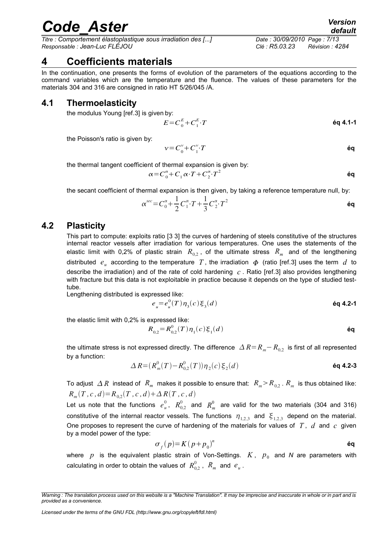*Titre : Comportement élastoplastique sous irradiation des [...] Date : 30/09/2010 Page : 7/13 Responsable : Jean-Luc FLÉJOU Clé : R5.03.23 Révision : 4284*

### <span id="page-6-2"></span>**4 Coefficients materials**

In the continuation, one presents the forms of evolution of the parameters of the equations according to the command variables which are the temperature and the fluence. The values of these parameters for the materials 304 and 316 are consigned in ratio HT 5/26/045 /A.

#### **4.1 Thermoelasticity**

<span id="page-6-1"></span>the modulus Young [ref[.3\]](#page-12-4) is given by:

 $E = C_0^E + C_1^E$ ⋅*T* **éq 4.1-1**

the Poisson's ratio is given by:

$$
v = C_0^v + C_1^v \cdot T
$$

the thermal tangent coefficient of thermal expansion is given by:

$$
\alpha = C_0^{\alpha} + C_1 \alpha \cdot T + C_2^{\alpha} \cdot T^2
$$

the secant coefficient of thermal expansion is then given, by taking a reference temperature null, by:

$$
\alpha^{sec} = C_0^{\alpha} + \frac{1}{2} C_1^{\alpha} \cdot T + \frac{1}{3} C_2^{\alpha} \cdot T^2
$$

#### **4.2 Plasticity**

<span id="page-6-0"></span>This part to compute: exploits ratio [\[3](#page-12-4) 3] the curves of hardening of steels constitutive of the structures internal reactor vessels after irradiation for various temperatures. One uses the statements of the elastic limit with 0,2% of plastic strain  $R_{0,2}$ , of the ultimate stress  $R_m^+$  and of the lengthening distributed  $e_u$  according to the temperature  $T$ , the irradiation  $\Phi$  (ratio [ref[.3\]](#page-12-4) uses the term  $d$  to describe the irradiation) and of the rate of cold hardening *c* . Ratio [ref[.3\]](#page-12-4) also provides lengthening with fracture but this data is not exploitable in practice because it depends on the type of studied testtube.

Lengthening distributed is expressed like:

<span id="page-6-6"></span><span id="page-6-5"></span>
$$
e_{u} = e_{u}^{0}(T)\eta_{3}(c)\xi_{3}(d)
$$
\n6q 4.2-1

the elastic limit with 0,2% is expressed like:

<span id="page-6-4"></span>
$$
R_{0,2} = R_{0,2}^{0}(T)\eta_{1}(c)\xi_{1}(d)
$$

the ultimate stress is not expressed directly. The difference  $\Delta R=R_m-R_{0.2}$  is first of all represented by a function:

$$
\Delta R = (R_m^0(T) - R_{0,2}^0(T)) \eta_2(c) \xi_2(d) \tag{6q 4.2-3}
$$

To adjust  $\;\Delta\,R\;$  instead of  $\;R^{}_m\;$  makes it possible to ensure that:  $\;R^{}_m\!>\!R^{}_{0,2}$  .  $R^{}_m\;$  is thus obtained like:  $R_m(T, c, d) = R_{0,2}(T, c, d) + \Delta R(T, c, d)$ 

Let us note that the functions  $e^0_u$ ,  $R^0_{0,2}$  and  $R^0_m$  are valid for the two materials (304 and 316) constitutive of the internal reactor vessels. The functions  $\eta_{1,2,3}$  and  $\xi_{1,2,3}$  depend on the material. One proposes to represent the curve of hardening of the materials for values of *T* , *d* and *c* given by a model power of the type:

<span id="page-6-3"></span>
$$
\sigma_f(p) = K(p + p_0)^n \tag{61}
$$

where  $p$  is the equivalent plastic strain of Von-Settings.  $K$ ,  $p_{0}$  and N are parameters with calculating in order to obtain the values of  $\ R^0_{0,2}$  ,  $\ R_{m}^{}$  and  $\ e_{\it u}^{}$  .

*Licensed under the terms of the GNU FDL (http://www.gnu.org/copyleft/fdl.html)*

*Warning : The translation process used on this website is a "Machine Translation". It may be imprecise and inaccurate in whole or in part and is provided as a convenience.*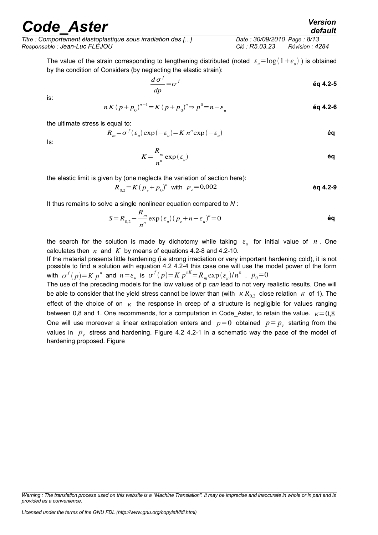*Titre : Comportement élastoplastique sous irradiation des [...] Date : 30/09/2010 Page : 8/13 Responsable : Jean-Luc FLÉJOU Clé : R5.03.23 Révision : 4284*

The value of the strain corresponding to lengthening distributed (noted  $\epsilon_{u} = \log(1+e_{u})$  ) is obtained by the condition of Considers (by neglecting the elastic strain):

$$
\frac{d\,\sigma^f}{dp} = \sigma^f \tag{6q 4.2-5}
$$

is:

$$
n K (p + p_0)^{n-1} = K (p + p_0)^n \Rightarrow p^0 = n - \varepsilon_u
$$

the ultimate stress is equal to:

$$
R_m = \sigma^f(\varepsilon_u) \exp(-\varepsilon_u) = K n^n \exp(-\varepsilon_u)
$$

Is:

<span id="page-7-1"></span><span id="page-7-0"></span>
$$
K = \frac{R_m}{n^n} \exp\left(\varepsilon_u\right) \tag{60}
$$

the elastic limit is given by (one neglects the variation of section here):

 $R_{0,2} = K (p_e + p_0)^n$  with  $p_e = 0.002$  **éq 4.2-9** 

It thus remains to solve a single nonlinear equation compared to *N* :

$$
S = R_{0,2} - \frac{R_m}{n} \exp\left(\varepsilon_u\right) \left(p_e + n - \varepsilon_u\right)^n = 0
$$

the search for the solution is made by dichotomy while taking  $\varepsilon_{\mu}$  for initial value of  $n$ . One calculates then  $n \text{ and } K$  by means of equations [4.2-8](#page-7-1) and [4.2-10.](#page-7-0)

If the material presents little hardening (i.e strong irradiation or very important hardening cold), it is not possible to find a solution with equation 4.2 [4.2-4](#page-6-3) this case one will use the model power of the form with  $\sigma^f(p)=Kp^n$  and  $n=\varepsilon_u$  is  $\sigma^f(p)=Kp^{nK}=R_m\exp(\varepsilon_u)/n^n$  .  $p_0=0$ 

The use of the preceding models for the low values of p *can* lead to not very realistic results. One will be able to consider that the yield stress cannot be lower than (with  $K R_{02}$  close relation  $K$  of 1). The effect of the choice of on  $\kappa$  the response in creep of a structure is negligible for values ranging between 0,8 and 1. One recommends, for a computation in Code Aster, to retain the value.  $K = 0.8$ One will use moreover a linear extrapolation enters and  $p=0$  obtained  $p=p_e$  starting from the values in  $p_e$  stress and hardening. Figure 4.2 [4.2-1](#page-8-3) in a schematic way the pace of the model of hardening proposed. Figure

*Warning : The translation process used on this website is a "Machine Translation". It may be imprecise and inaccurate in whole or in part and is provided as a convenience.*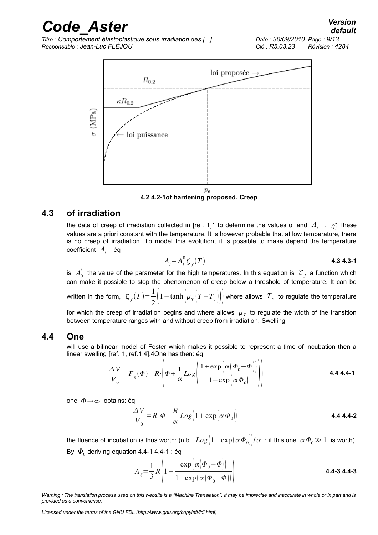*default*



<span id="page-8-3"></span>**4.2 4.2-1of hardening proposed. Creep**

#### **4.3 of irradiation**

<span id="page-8-1"></span>the data of creep of irradiation collected in [ref. 1[\]1](#page-12-2) to determine the values of and  $A_i$   $\ldots$   $\eta_i^s$  These values are a priori constant with the temperature. It is however probable that at low temperature, there is no creep of irradiation. To model this evolution, it is possible to make depend the temperature coefficient *A<sup>i</sup>* : éq

<span id="page-8-4"></span><span id="page-8-2"></span>
$$
A_i = A_i^0 \zeta_f(T) \tag{4.34.3-1}
$$

is  $A_0^i$  the value of the parameter for the high temperatures. In this equation is  $\zeta_f$  a function which can make it possible to stop the phenomenon of creep below a threshold of temperature. It can be

written in the form,  $\mathcal{F}_f(T) = \frac{1}{2}$  $\frac{1}{2}$  $\left(1+\tanh\left(\mu_{T}\left(T-T_{c}\right)\right)\right)$  where allows  $T_{c}$  to regulate the temperature

for which the creep of irradiation begins and where allows  $\mu_{\scriptscriptstyle T}$  to regulate the width of the transition between temperature ranges with and without creep from irradiation. Swelling

#### **4.4 One**

<span id="page-8-0"></span>will use a bilinear model of Foster which makes it possible to represent a time of incubation then a linear swelling [ref. 1, ref[.1](#page-12-2) 4][.4O](#page-12-5)ne has then: éq

$$
\frac{\Delta V}{V_0} = F_g(\Phi) = R \cdot \left( \Phi + \frac{1}{\alpha} Log \left( \frac{1 + exp \left( \alpha \left( \Phi_0 - \Phi \right) \right)}{1 + exp \left( \alpha \Phi_0 \right)} \right) \right)
$$
\n4.4 4.4-1

one  $\Phi \rightarrow \infty$  obtains: éq

$$
\frac{\Delta V}{V_0} = R \cdot \Phi - \frac{R}{\alpha} Log \Big( 1 + \exp \Big( \alpha \, \Phi_0 \Big) \Big)
$$
 **4.4.4-2**

the fluence of incubation is thus worth: (n.b.  $Log(1+exp( \alpha \Phi_0)/\alpha)$ : if this one  $\alpha \Phi_0 \gg 1$  is worth). By  $\ket{\varPhi_{_{0}}}$  deriving equation [4.4-1](#page-8-4) 4.4-1 : éq

$$
A_{g} = \frac{1}{3} R \left( 1 - \frac{\exp \left( \alpha \left( \boldsymbol{\Phi}_{0} - \boldsymbol{\Phi} \right) \right)}{1 + \exp \left( \alpha \left( \boldsymbol{\Phi}_{0} - \boldsymbol{\Phi} \right) \right)} \right)
$$
 **4.4-3 4.4-3**

*Warning : The translation process used on this website is a "Machine Translation". It may be imprecise and inaccurate in whole or in part and is provided as a convenience.*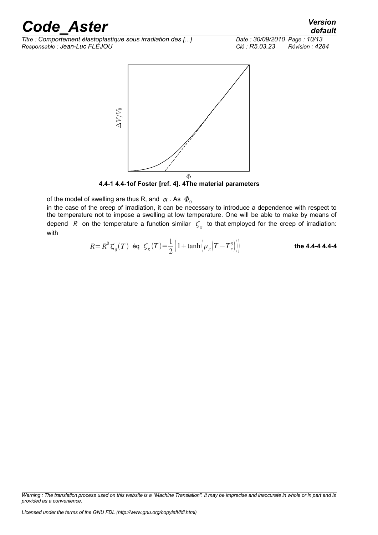*Titre : Comportement élastoplastique sous irradiation des [...] Date : 30/09/2010 Page : 10/13 Responsable : Jean-Luc FLÉJOU Clé : R5.03.23 Révision : 4284*



<span id="page-9-0"></span>**4.4-1 4.4-1of Foster [ref. 4]. [4T](#page-12-5)he material parameters**

of the model of swelling are thus R, and  $\alpha$ . As  $\Phi_0$ 

in the case of the creep of irradiation, it can be necessary to introduce a dependence with respect to the temperature not to impose a swelling at low temperature. One will be able to make by means of depend R on the temperature a function similar  $\zeta_g$  to that employed for the creep of irradiation: with

$$
R = R^{0} \zeta_{g}(T) \quad \text{éq} \quad \zeta_{g}(T) = \frac{1}{2} \Big( 1 + \tanh \Big( \mu_{g} \Big( T - T_{c}^{g} \Big) \Big) \Big) \tag{the 4.4-4 4.4-4}
$$

*Warning : The translation process used on this website is a "Machine Translation". It may be imprecise and inaccurate in whole or in part and is provided as a convenience.*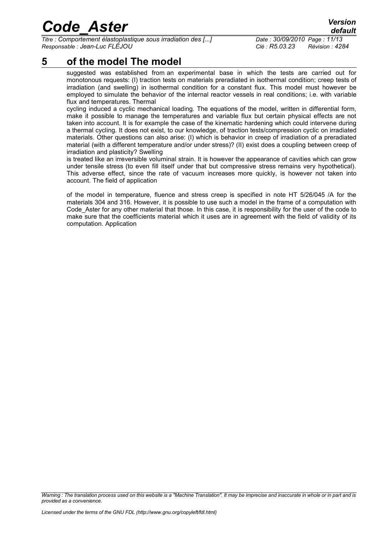*Titre : Comportement élastoplastique sous irradiation des [...] Date : 30/09/2010 Page : 11/13 Responsable : Jean-Luc FLÉJOU Clé : R5.03.23 Révision : 4284*

### **5 of the model The model**

<span id="page-10-0"></span>suggested was established from an experimental base in which the tests are carried out for monotonous requests: (I) traction tests on materials preradiated in isothermal condition; creep tests of irradiation (and swelling) in isothermal condition for a constant flux. This model must however be employed to simulate the behavior of the internal reactor vessels in real conditions; i.e. with variable flux and temperatures. Thermal

cycling induced a cyclic mechanical loading. The equations of the model, written in differential form, make it possible to manage the temperatures and variable flux but certain physical effects are not taken into account. It is for example the case of the kinematic hardening which could intervene during a thermal cycling. It does not exist, to our knowledge, of traction tests/compression cyclic on irradiated materials. Other questions can also arise: (I) which is behavior in creep of irradiation of a preradiated material (with a different temperature and/or under stress)? (II) exist does a coupling between creep of irradiation and plasticity? Swelling

is treated like an irreversible voluminal strain. It is however the appearance of cavities which can grow under tensile stress (to even fill itself under that but compressive stress remains very hypothetical). This adverse effect, since the rate of vacuum increases more quickly, is however not taken into account. The field of application

of the model in temperature, fluence and stress creep is specified in note HT 5/26/045 /A for the materials 304 and 316. However, it is possible to use such a model in the frame of a computation with Code Aster for any other material that those. In this case, it is responsibility for the user of the code to make sure that the coefficients material which it uses are in agreement with the field of validity of its computation. Application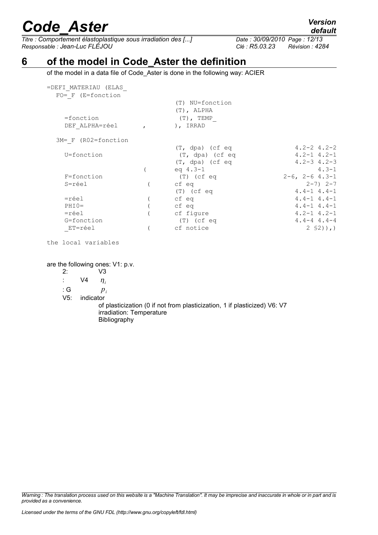*Titre : Comportement élastoplastique sous irradiation des [...] Date : 30/09/2010 Page : 12/13 Responsable : Jean-Luc FLÉJOU Clé : R5.03.23 Révision : 4284*

### **6 of the model in Code\_Aster the definition**

<span id="page-11-0"></span>of the model in a data file of Code\_Aster is done in the following way: ACIER

| =DEFI MATERIAU (ELAS     |                   |                     |
|--------------------------|-------------------|---------------------|
| $FO= F (E=fonction$      |                   |                     |
|                          | (T) NU=fonction   |                     |
|                          | $(T)$ , ALPHA     |                     |
| =fonction                | $(T)$ , TEMP      |                     |
| DEF ALPHA=réel           | ), IRRAD          |                     |
| $3M = F (R02 = fonction$ |                   |                     |
|                          | $(T, dpa)$ (cf eq | $4.2 - 2$ $4.2 - 2$ |
| U=fonction               | $(T, dpa)$ (cf eq | $4.2 - 1$ $4.2 - 1$ |
|                          | $(T, dpa)$ (cf eq | $4.2 - 3$ $4.2 - 3$ |
|                          | eq $4.3 - 1$      | $4.3 - 1$           |
| F=fonction               | (T) (cf eq        | $2-6$ , $2-6$ 4.3-1 |
| S=réel                   | cf eq             | $2 - 7$ ) $2 - 7$   |
|                          | $(T)$ (cf eq      | $4.4 - 1$ $4.4 - 1$ |
| =réel                    | cf eq             | $4.4 - 1$ $4.4 - 1$ |
| $PHIO=$                  | cf eq             | $4.4 - 1$ $4.4 - 1$ |
| =réel                    | cf figure         | $4.2 - 1$ $4.2 - 1$ |
| G=fonction               | $(T)$ (cf eq      | $4.4 - 4.4 - 4$     |
| ET=réel                  | cf notice         | $2 \,$ \$2) ), )    |
|                          |                   |                     |

the local variables

are the following ones: V1: p.v.

2: V3

:  $\vee 4$   $\eta_i$ 

: G *p<sup>i</sup>*

V5: indicator

of plasticization (0 if not from plasticization, 1 if plasticized) V6: V7 irradiation: Temperature Bibliography

*Warning : The translation process used on this website is a "Machine Translation". It may be imprecise and inaccurate in whole or in part and is provided as a convenience.*